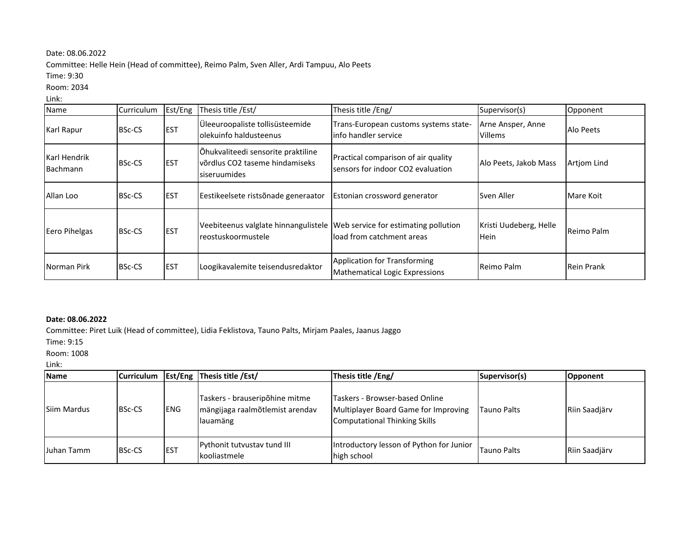## Date: 08.06.2022

Committee: Helle Hein (Head of committee), Reimo Palm, Sven Aller, Ardi Tampuu, Alo Peets

Time: 9:30

Room: 2034

Link:

| Name                     | Curriculum    | Est/Eng     | Thesis title /Est/                                                                              | Thesis title /Eng/                                                       | Supervisor(s)                         | Opponent           |
|--------------------------|---------------|-------------|-------------------------------------------------------------------------------------------------|--------------------------------------------------------------------------|---------------------------------------|--------------------|
| Karl Rapur               | <b>BSc-CS</b> | <b>IEST</b> | Üleeuroopaliste tollisüsteemide<br>olekuinfo haldusteenus                                       | Trans-European customs systems state-<br>linfo handler service           | Arne Ansper, Anne<br><b>Villems</b>   | Alo Peets          |
| Karl Hendrik<br>Bachmann | <b>BSc-CS</b> | <b>EST</b>  | Õhukvaliteedi sensorite praktiline<br>lvõrdlus CO2 taseme hindamiseks<br>siseruumides           | Practical comparison of air quality<br>sensors for indoor CO2 evaluation | Alo Peets, Jakob Mass                 | <b>Artiom Lind</b> |
| Allan Loo                | <b>BSc-CS</b> | <b>EST</b>  | Eestikeelsete ristsõnade generaator                                                             | Estonian crossword generator                                             | Sven Aller                            | Mare Koit          |
| Eero Pihelgas            | <b>BSc-CS</b> | <b>EST</b>  | Veebiteenus valglate hinnangulistele Web service for estimating pollution<br>reostuskoormustele | load from catchment areas                                                | Kristi Uudeberg, Helle<br><b>Hein</b> | Reimo Palm         |
| Norman Pirk              | <b>BSc-CS</b> | <b>EST</b>  | Loogikavalemite teisendusredaktor                                                               | Application for Transforming<br>Mathematical Logic Expressions           | Reimo Palm                            | <b>Rein Prank</b>  |

## **Date: 08.06.2022**

Committee: Piret Luik (Head of committee), Lidia Feklistova, Tauno Palts, Mirjam Paales, Jaanus Jaggo

Time: 9:15

Room: 1008

Link:

| <b>Name</b>        | <b>Curriculum</b> |             | <b>Est/Eng Thesis title /Est/</b>                                             | Thesis title /Eng/                                                                                      | Supervisor(s)      | Opponent             |
|--------------------|-------------------|-------------|-------------------------------------------------------------------------------|---------------------------------------------------------------------------------------------------------|--------------------|----------------------|
| <b>Siim Mardus</b> | <b>BSc-CS</b>     | <b>IENG</b> | Taskers - brauseripõhine mitme<br>mängijaga raalmõtlemist arendav<br>lauamäng | Taskers - Browser-based Online<br>Multiplayer Board Game for Improving<br>Computational Thinking Skills | <b>Tauno Palts</b> | <b>Riin Saadiärv</b> |
| Juhan Tamm         | <b>BSc-CS</b>     | <b>EST</b>  | <b>Pythonit tutvustav tund III</b><br>kooliastmele                            | Introductory lesson of Python for Junior<br>high school                                                 | Tauno Palts        | <b>Riin Saadiärv</b> |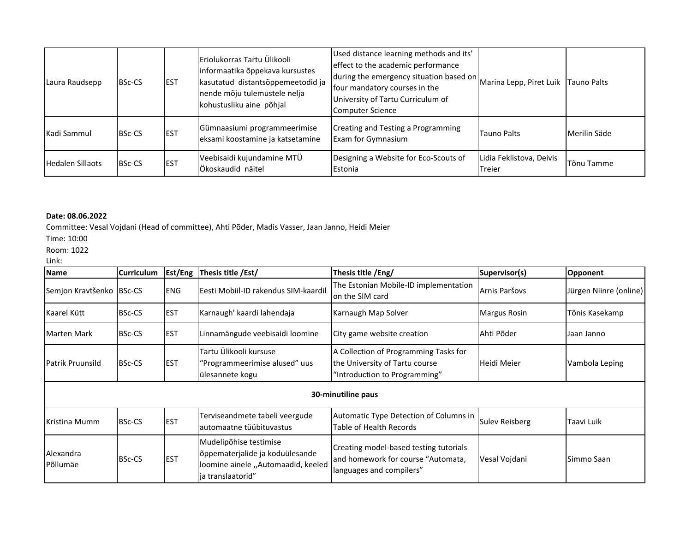| Laura Raudsepp          | <b>BSc-CS</b> | <b>EST</b> | Eriolukorras Tartu Ülikooli<br>informaatika õppekava kursustes<br>kasutatud distantsõppemeetodid ja<br>nende mõju tulemustele nelja<br>kohustusliku aine põhjal | Used distance learning methods and its'<br>effect to the academic performance<br>during the emergency situation based on<br>four mandatory courses in the<br>University of Tartu Curriculum of<br><b>Computer Science</b> | Marina Lepp, Piret Luik            | Tauno Palts  |
|-------------------------|---------------|------------|-----------------------------------------------------------------------------------------------------------------------------------------------------------------|---------------------------------------------------------------------------------------------------------------------------------------------------------------------------------------------------------------------------|------------------------------------|--------------|
| Kadi Sammul             | <b>BSc-CS</b> | <b>EST</b> | Gümnaasiumi programmeerimise<br>eksami koostamine ja katsetamine                                                                                                | Creating and Testing a Programming<br>Exam for Gymnasium                                                                                                                                                                  | <b>Tauno Palts</b>                 | Merilin Säde |
| <b>Hedalen Sillaots</b> | <b>BSc-CS</b> | <b>EST</b> | Veebisaidi kujundamine MTÜ<br>Ökoskaudid näitel                                                                                                                 | Designing a Website for Eco-Scouts of<br>Estonia                                                                                                                                                                          | Lidia Feklistova, Deivis<br>Treier | Tõnu Tamme   |

## **Date: 08.06.2022**

Committee: Vesal Vojdani (Head of committee), Ahti Põder, Madis Vasser, Jaan Janno, Heidi Meier

Time: 10:00

Room: 1022

Link:

| <b>Name</b>              | <b>Curriculum</b> | Est/Eng    | Thesis title /Est/                                                                                                   | Thesis title /Eng/                                                                                       | Supervisor(s)         | Opponent               |  |
|--------------------------|-------------------|------------|----------------------------------------------------------------------------------------------------------------------|----------------------------------------------------------------------------------------------------------|-----------------------|------------------------|--|
| Semjon Kravtšenko BSc-CS |                   | <b>ENG</b> | Eesti Mobiil-ID rakendus SIM-kaardil                                                                                 | The Estonian Mobile-ID implementation<br>on the SIM card                                                 | Arnis Paršovs         | Jürgen Niinre (online) |  |
| Kaarel Kütt              | <b>BSc-CS</b>     | <b>EST</b> | Karnaugh' kaardi lahendaja                                                                                           | Karnaugh Map Solver                                                                                      | <b>Margus Rosin</b>   | Tõnis Kasekamp         |  |
| Marten Mark              | <b>BSc-CS</b>     | <b>EST</b> | Linnamängude veebisaidi loomine                                                                                      | City game website creation                                                                               | Ahti Põder            | Jaan Janno             |  |
| Patrik Pruunsild         | <b>BSc-CS</b>     | <b>EST</b> | Tartu Ülikooli kursuse<br>"Programmeerimise alused" uus<br>ülesannete kogu                                           | A Collection of Programming Tasks for<br>the University of Tartu course<br>"Introduction to Programming" | Heidi Meier           | Vambola Leping         |  |
| 30-minutiline paus       |                   |            |                                                                                                                      |                                                                                                          |                       |                        |  |
| <b>Kristina Mumm</b>     | <b>BSc-CS</b>     | <b>EST</b> | Terviseandmete tabeli veergude<br>automaatne tüübituvastus                                                           | Automatic Type Detection of Columns in<br>Table of Health Records                                        | <b>Sulev Reisberg</b> | Taavi Luik             |  |
| Alexandra<br>Põllumäe    | <b>BSc-CS</b>     | <b>EST</b> | Mudelipõhise testimise<br>õppematerjalide ja koduülesande<br>loomine ainele "Automaadid, keeled<br>ja translaatorid" | Creating model-based testing tutorials<br>and homework for course "Automata,<br>languages and compilers" | Vesal Vojdani         | Simmo Saan             |  |